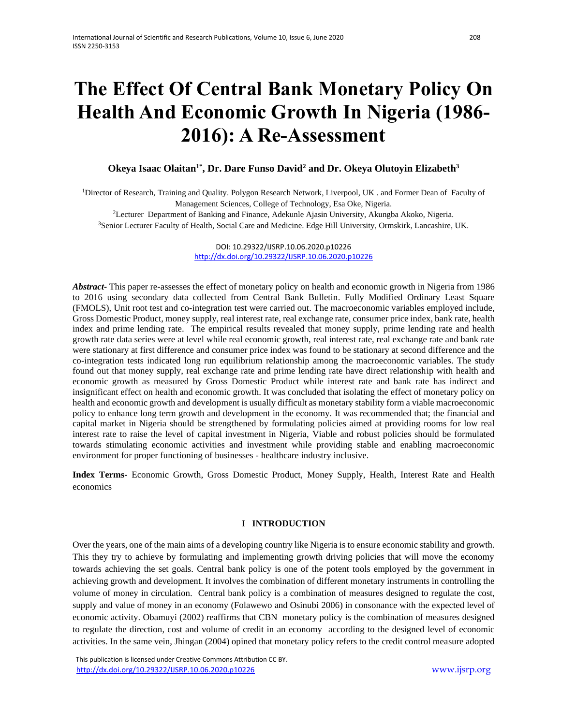# **The Effect Of Central Bank Monetary Policy On Health And Economic Growth In Nigeria (1986- 2016): A Re-Assessment**

## **Okeya Isaac Olaitan1\*, Dr. Dare Funso David<sup>2</sup> and Dr. Okeya Olutoyin Elizabeth<sup>3</sup>**

<sup>1</sup>Director of Research, Training and Quality. Polygon Research Network, Liverpool, UK . and Former Dean of Faculty of Management Sciences, College of Technology, Esa Oke, Nigeria.

<sup>2</sup>Lecturer Department of Banking and Finance, Adekunle Ajasin University, Akungba Akoko, Nigeria. <sup>3</sup>Senior Lecturer Faculty of Health, Social Care and Medicine. Edge Hill University, Ormskirk, Lancashire, UK.

> DOI: 10.29322/IJSRP.10.06.2020.p10226 <http://dx.doi.org/10.29322/IJSRP.10.06.2020.p10226>

*Abstract-* This paper re-assesses the effect of monetary policy on health and economic growth in Nigeria from 1986 to 2016 using secondary data collected from Central Bank Bulletin. Fully Modified Ordinary Least Square (FMOLS), Unit root test and co-integration test were carried out. The macroeconomic variables employed include, Gross Domestic Product, money supply, real interest rate, real exchange rate, consumer price index, bank rate, health index and prime lending rate. The empirical results revealed that money supply, prime lending rate and health growth rate data series were at level while real economic growth, real interest rate, real exchange rate and bank rate were stationary at first difference and consumer price index was found to be stationary at second difference and the co-integration tests indicated long run equilibrium relationship among the macroeconomic variables. The study found out that money supply, real exchange rate and prime lending rate have direct relationship with health and economic growth as measured by Gross Domestic Product while interest rate and bank rate has indirect and insignificant effect on health and economic growth. It was concluded that isolating the effect of monetary policy on health and economic growth and development is usually difficult as monetary stability form a viable macroeconomic policy to enhance long term growth and development in the economy. It was recommended that; the financial and capital market in Nigeria should be strengthened by formulating policies aimed at providing rooms for low real interest rate to raise the level of capital investment in Nigeria, Viable and robust policies should be formulated towards stimulating economic activities and investment while providing stable and enabling macroeconomic environment for proper functioning of businesses - healthcare industry inclusive.

**Index Terms-** Economic Growth, Gross Domestic Product, Money Supply, Health, Interest Rate and Health economics

### **I INTRODUCTION**

Over the years, one of the main aims of a developing country like Nigeria is to ensure economic stability and growth. This they try to achieve by formulating and implementing growth driving policies that will move the economy towards achieving the set goals. Central bank policy is one of the potent tools employed by the government in achieving growth and development. It involves the combination of different monetary instruments in controlling the volume of money in circulation. Central bank policy is a combination of measures designed to regulate the cost, supply and value of money in an economy (Folawewo and Osinubi 2006) in consonance with the expected level of economic activity. Obamuyi (2002) reaffirms that CBN monetary policy is the combination of measures designed to regulate the direction, cost and volume of credit in an economy according to the designed level of economic activities. In the same vein, Jhingan (2004) opined that monetary policy refers to the credit control measure adopted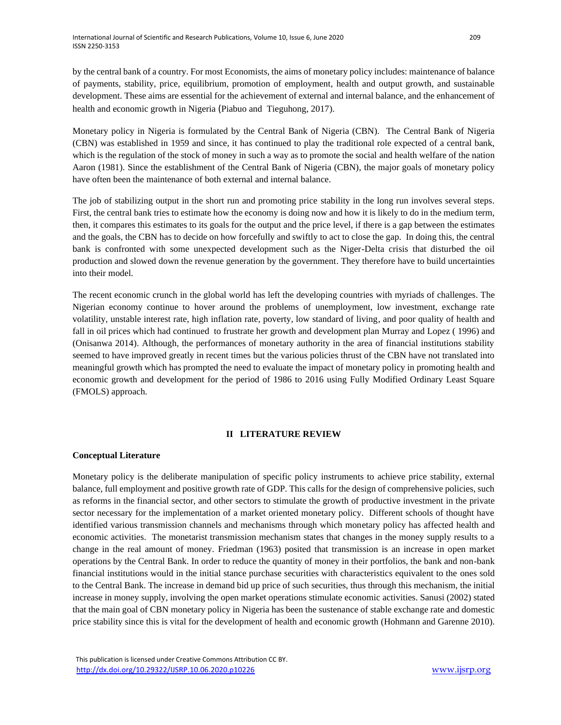by the central bank of a country. For most Economists, the aims of monetary policy includes: maintenance of balance of payments, stability, price, equilibrium, promotion of employment, health and output growth, and sustainable development. These aims are essential for the achievement of external and internal balance, and the enhancement of health and economic growth in Nigeria (Piabuo and Tieguhong, 2017).

Monetary policy in Nigeria is formulated by the Central Bank of Nigeria (CBN). The Central Bank of Nigeria (CBN) was established in 1959 and since, it has continued to play the traditional role expected of a central bank, which is the regulation of the stock of money in such a way as to promote the social and health welfare of the nation Aaron (1981). Since the establishment of the Central Bank of Nigeria (CBN), the major goals of monetary policy have often been the maintenance of both external and internal balance.

The job of stabilizing output in the short run and promoting price stability in the long run involves several steps. First, the central bank tries to estimate how the economy is doing now and how it is likely to do in the medium term, then, it compares this estimates to its goals for the output and the price level, if there is a gap between the estimates and the goals, the CBN has to decide on how forcefully and swiftly to act to close the gap. In doing this, the central bank is confronted with some unexpected development such as the Niger-Delta crisis that disturbed the oil production and slowed down the revenue generation by the government. They therefore have to build uncertainties into their model.

The recent economic crunch in the global world has left the developing countries with myriads of challenges. The Nigerian economy continue to hover around the problems of unemployment, low investment, exchange rate volatility, unstable interest rate, high inflation rate, poverty, low standard of living, and poor quality of health and fall in oil prices which had continued to frustrate her growth and development plan Murray and Lopez ( 1996) and (Onisanwa 2014). Although, the performances of monetary authority in the area of financial institutions stability seemed to have improved greatly in recent times but the various policies thrust of the CBN have not translated into meaningful growth which has prompted the need to evaluate the impact of monetary policy in promoting health and economic growth and development for the period of 1986 to 2016 using Fully Modified Ordinary Least Square (FMOLS) approach.

#### **II LITERATURE REVIEW**

## **Conceptual Literature**

Monetary policy is the deliberate manipulation of specific policy instruments to achieve price stability, external balance, full employment and positive growth rate of GDP. This calls for the design of comprehensive policies, such as reforms in the financial sector, and other sectors to stimulate the growth of productive investment in the private sector necessary for the implementation of a market oriented monetary policy. Different schools of thought have identified various transmission channels and mechanisms through which monetary policy has affected health and economic activities. The monetarist transmission mechanism states that changes in the money supply results to a change in the real amount of money. Friedman (1963) posited that transmission is an increase in open market operations by the Central Bank. In order to reduce the quantity of money in their portfolios, the bank and non-bank financial institutions would in the initial stance purchase securities with characteristics equivalent to the ones sold to the Central Bank. The increase in demand bid up price of such securities, thus through this mechanism, the initial increase in money supply, involving the open market operations stimulate economic activities. Sanusi (2002) stated that the main goal of CBN monetary policy in Nigeria has been the sustenance of stable exchange rate and domestic price stability since this is vital for the development of health and economic growth (Hohmann and Garenne 2010).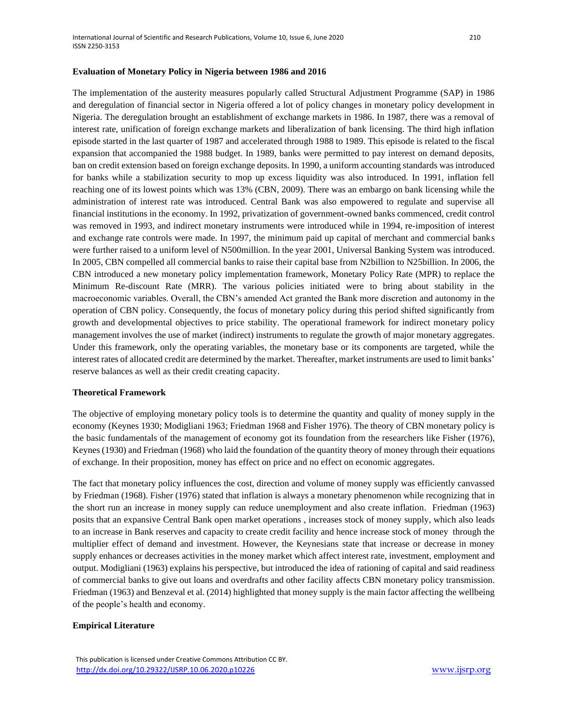#### **Evaluation of Monetary Policy in Nigeria between 1986 and 2016**

The implementation of the austerity measures popularly called Structural Adjustment Programme (SAP) in 1986 and deregulation of financial sector in Nigeria offered a lot of policy changes in monetary policy development in Nigeria. The deregulation brought an establishment of exchange markets in 1986. In 1987, there was a removal of interest rate, unification of foreign exchange markets and liberalization of bank licensing. The third high inflation episode started in the last quarter of 1987 and accelerated through 1988 to 1989. This episode is related to the fiscal expansion that accompanied the 1988 budget. In 1989, banks were permitted to pay interest on demand deposits, ban on credit extension based on foreign exchange deposits. In 1990, a uniform accounting standards was introduced for banks while a stabilization security to mop up excess liquidity was also introduced. In 1991, inflation fell reaching one of its lowest points which was 13% (CBN, 2009). There was an embargo on bank licensing while the administration of interest rate was introduced. Central Bank was also empowered to regulate and supervise all financial institutions in the economy. In 1992, privatization of government-owned banks commenced, credit control was removed in 1993, and indirect monetary instruments were introduced while in 1994, re-imposition of interest and exchange rate controls were made. In 1997, the minimum paid up capital of merchant and commercial banks were further raised to a uniform level of N500million. In the year 2001, Universal Banking System was introduced. In 2005, CBN compelled all commercial banks to raise their capital base from N2billion to N25billion. In 2006, the CBN introduced a new monetary policy implementation framework, Monetary Policy Rate (MPR) to replace the Minimum Re-discount Rate (MRR). The various policies initiated were to bring about stability in the macroeconomic variables. Overall, the CBN's amended Act granted the Bank more discretion and autonomy in the operation of CBN policy. Consequently, the focus of monetary policy during this period shifted significantly from growth and developmental objectives to price stability. The operational framework for indirect monetary policy management involves the use of market (indirect) instruments to regulate the growth of major monetary aggregates. Under this framework, only the operating variables, the monetary base or its components are targeted, while the interest rates of allocated credit are determined by the market. Thereafter, market instruments are used to limit banks' reserve balances as well as their credit creating capacity.

#### **Theoretical Framework**

The objective of employing monetary policy tools is to determine the quantity and quality of money supply in the economy (Keynes 1930; Modigliani 1963; Friedman 1968 and Fisher 1976). The theory of CBN monetary policy is the basic fundamentals of the management of economy got its foundation from the researchers like Fisher (1976), Keynes (1930) and Friedman (1968) who laid the foundation of the quantity theory of money through their equations of exchange. In their proposition, money has effect on price and no effect on economic aggregates.

The fact that monetary policy influences the cost, direction and volume of money supply was efficiently canvassed by Friedman (1968). Fisher (1976) stated that inflation is always a monetary phenomenon while recognizing that in the short run an increase in money supply can reduce unemployment and also create inflation. Friedman (1963) posits that an expansive Central Bank open market operations , increases stock of money supply, which also leads to an increase in Bank reserves and capacity to create credit facility and hence increase stock of money through the multiplier effect of demand and investment. However, the Keynesians state that increase or decrease in money supply enhances or decreases activities in the money market which affect interest rate, investment, employment and output. Modigliani (1963) explains his perspective, but introduced the idea of rationing of capital and said readiness of commercial banks to give out loans and overdrafts and other facility affects CBN monetary policy transmission. Friedman (1963) and Benzeval et al. (2014) highlighted that money supply is the main factor affecting the wellbeing of the people's health and economy.

#### **Empirical Literature**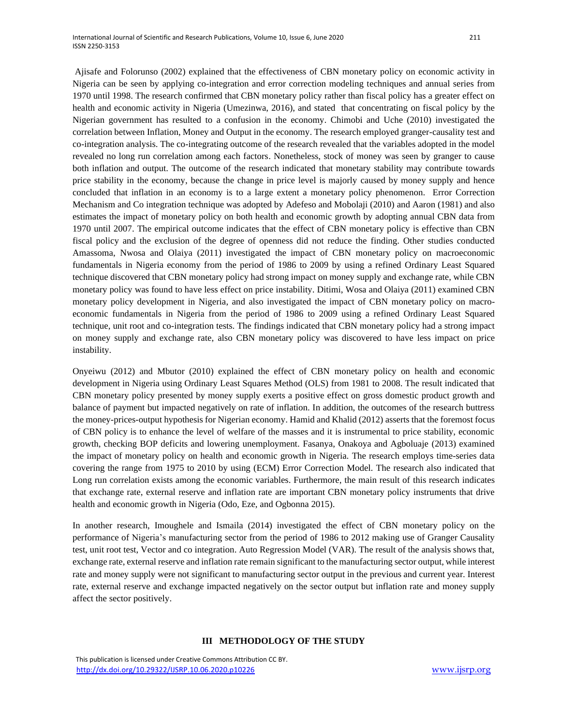Ajisafe and Folorunso (2002) explained that the effectiveness of CBN monetary policy on economic activity in Nigeria can be seen by applying co-integration and error correction modeling techniques and annual series from 1970 until 1998. The research confirmed that CBN monetary policy rather than fiscal policy has a greater effect on health and economic activity in Nigeria (Umezinwa, 2016), and stated that concentrating on fiscal policy by the Nigerian government has resulted to a confusion in the economy. Chimobi and Uche (2010) investigated the correlation between Inflation, Money and Output in the economy. The research employed granger-causality test and co-integration analysis. The co-integrating outcome of the research revealed that the variables adopted in the model revealed no long run correlation among each factors. Nonetheless, stock of money was seen by granger to cause both inflation and output. The outcome of the research indicated that monetary stability may contribute towards price stability in the economy, because the change in price level is majorly caused by money supply and hence concluded that inflation in an economy is to a large extent a monetary policy phenomenon. Error Correction Mechanism and Co integration technique was adopted by Adefeso and Mobolaji (2010) and Aaron (1981) and also estimates the impact of monetary policy on both health and economic growth by adopting annual CBN data from 1970 until 2007. The empirical outcome indicates that the effect of CBN monetary policy is effective than CBN fiscal policy and the exclusion of the degree of openness did not reduce the finding. Other studies conducted Amassoma, Nwosa and Olaiya (2011) investigated the impact of CBN monetary policy on macroeconomic fundamentals in Nigeria economy from the period of 1986 to 2009 by using a refined Ordinary Least Squared technique discovered that CBN monetary policy had strong impact on money supply and exchange rate, while CBN monetary policy was found to have less effect on price instability. Ditimi, Wosa and Olaiya (2011) examined CBN monetary policy development in Nigeria, and also investigated the impact of CBN monetary policy on macroeconomic fundamentals in Nigeria from the period of 1986 to 2009 using a refined Ordinary Least Squared technique, unit root and co-integration tests. The findings indicated that CBN monetary policy had a strong impact on money supply and exchange rate, also CBN monetary policy was discovered to have less impact on price instability.

Onyeiwu (2012) and Mbutor (2010) explained the effect of CBN monetary policy on health and economic development in Nigeria using Ordinary Least Squares Method (OLS) from 1981 to 2008. The result indicated that CBN monetary policy presented by money supply exerts a positive effect on gross domestic product growth and balance of payment but impacted negatively on rate of inflation. In addition, the outcomes of the research buttress the money-prices-output hypothesis for Nigerian economy. Hamid and Khalid (2012) asserts that the foremost focus of CBN policy is to enhance the level of welfare of the masses and it is instrumental to price stability, economic growth, checking BOP deficits and lowering unemployment. Fasanya, Onakoya and Agboluaje (2013) examined the impact of monetary policy on health and economic growth in Nigeria. The research employs time-series data covering the range from 1975 to 2010 by using (ECM) Error Correction Model. The research also indicated that Long run correlation exists among the economic variables. Furthermore, the main result of this research indicates that exchange rate, external reserve and inflation rate are important CBN monetary policy instruments that drive health and economic growth in Nigeria (Odo, Eze, and Ogbonna 2015).

In another research, Imoughele and Ismaila (2014) investigated the effect of CBN monetary policy on the performance of Nigeria's manufacturing sector from the period of 1986 to 2012 making use of Granger Causality test, unit root test, Vector and co integration. Auto Regression Model (VAR). The result of the analysis shows that, exchange rate, external reserve and inflation rate remain significant to the manufacturing sector output, while interest rate and money supply were not significant to manufacturing sector output in the previous and current year. Interest rate, external reserve and exchange impacted negatively on the sector output but inflation rate and money supply affect the sector positively.

#### **III METHODOLOGY OF THE STUDY**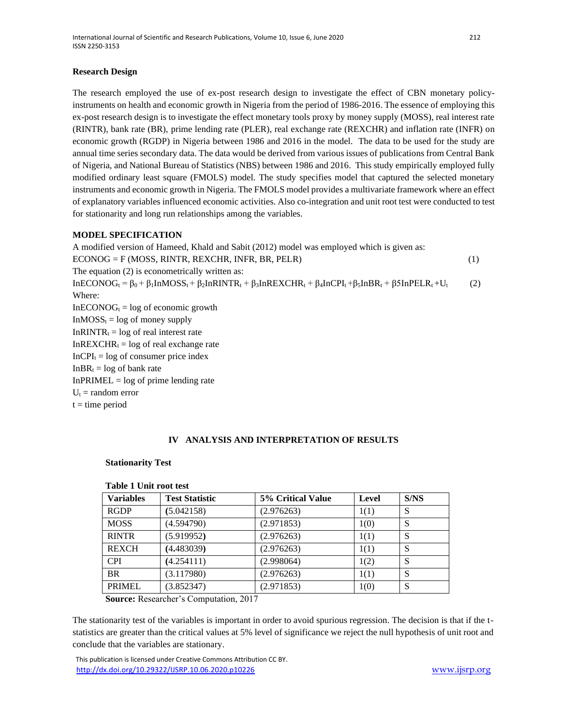## **Research Design**

The research employed the use of ex-post research design to investigate the effect of CBN monetary policyinstruments on health and economic growth in Nigeria from the period of 1986-2016. The essence of employing this ex-post research design is to investigate the effect monetary tools proxy by money supply (MOSS), real interest rate (RINTR), bank rate (BR), prime lending rate (PLER), real exchange rate (REXCHR) and inflation rate (INFR) on economic growth (RGDP) in Nigeria between 1986 and 2016 in the model. The data to be used for the study are annual time series secondary data. The data would be derived from various issues of publications from Central Bank of Nigeria, and National Bureau of Statistics (NBS) between 1986 and 2016. This study empirically employed fully modified ordinary least square (FMOLS) model. The study specifies model that captured the selected monetary instruments and economic growth in Nigeria. The FMOLS model provides a multivariate framework where an effect of explanatory variables influenced economic activities. Also co-integration and unit root test were conducted to test for stationarity and long run relationships among the variables.

## **MODEL SPECIFICATION**

A modified version of Hameed, Khald and Sabit (2012) model was employed which is given as: ECONOG = F (MOSS, RINTR, REXCHR, INFR, BR, PELR) (1) The equation (2) is econometrically written as:  $InECONOG<sub>t</sub> =  $\beta_0 + \beta_1 InMOSs_t + \beta_2 InRINTR_t + \beta_3 InREXCHR_t + \beta_4 InCPI_t + \beta_5InBR_t + \beta_5InPELR_t + U_t$  (2)$ Where:  $InECONOG<sub>t</sub> = log of economic growth$  $InMOSS<sub>t</sub> = log of money supply$ In $RINTR_t = log of real interest rate$  $InREXCHR<sub>t</sub> = log of real exchange rate$  $InCPI<sub>t</sub> = log of consumer price index$  $InBR<sub>t</sub> = log of bank rate$  $InPRIMEL = log of prime lending rate$  $U_t$  = random error  $t =$  time period

## **IV ANALYSIS AND INTERPRETATION OF RESULTS**

## **Stationarity Test**

| Tuon Tomeroe ase |                       |                   |       |      |  |  |  |
|------------------|-----------------------|-------------------|-------|------|--|--|--|
| <b>Variables</b> | <b>Test Statistic</b> | 5% Critical Value | Level | S/NS |  |  |  |
| <b>RGDP</b>      | (5.042158)            | (2.976263)        | 1(1)  | S    |  |  |  |
| <b>MOSS</b>      | (4.594790)            | (2.971853)        | 1(0)  | S    |  |  |  |
| <b>RINTR</b>     | (5.919952)            | (2.976263)        | 1(1)  | S    |  |  |  |
| <b>REXCH</b>     | (4.483039)            | (2.976263)        | 1(1)  | S    |  |  |  |
| <b>CPI</b>       | (4.254111)            | (2.998064)        | 1(2)  | S    |  |  |  |
| <b>BR</b>        | (3.117980)            | (2.976263)        | 1(1)  | S    |  |  |  |
| PRIMEL           | (3.852347)            | (2.971853)        | 1(0)  | S    |  |  |  |
|                  |                       |                   |       |      |  |  |  |

## **Table 1 Unit root test**

**Source:** Researcher's Computation, 2017

The stationarity test of the variables is important in order to avoid spurious regression. The decision is that if the tstatistics are greater than the critical values at 5% level of significance we reject the null hypothesis of unit root and conclude that the variables are stationary.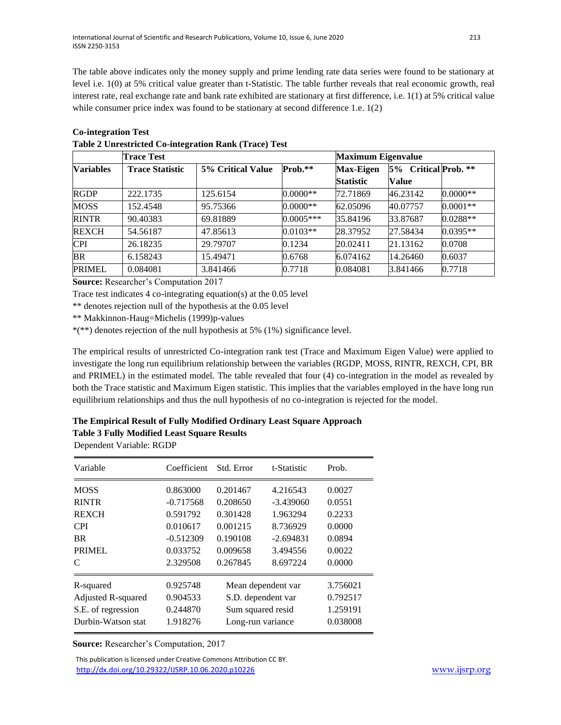The table above indicates only the money supply and prime lending rate data series were found to be stationary at level i.e. 1(0) at 5% critical value greater than t-Statistic. The table further reveals that real economic growth, real interest rate, real exchange rate and bank rate exhibited are stationary at first difference, i.e. 1(1) at 5% critical value while consumer price index was found to be stationary at second difference 1.e. 1(2)

|                  | <b>Trace Test</b>      |                   | <b>Maximum Eigenvalue</b> |                                      |                                      |            |
|------------------|------------------------|-------------------|---------------------------|--------------------------------------|--------------------------------------|------------|
| <b>Variables</b> | <b>Trace Statistic</b> | 5% Critical Value | Prob.**                   | <b>Max-Eigen</b><br><b>Statistic</b> | 5% Critical Prob. **<br><b>Value</b> |            |
| <b>RGDP</b>      | 222.1735               | 125.6154          | $0.0000**$                | 72.71869                             | 46.23142                             | $0.0000**$ |
| <b>MOSS</b>      | 152.4548               | 95.75366          | $0.0000**$                | 62.05096                             | 40.07757                             | $0.0001**$ |
| <b>RINTR</b>     | 90.40383               | 69.81889          | $0.0005***$               | 35.84196                             | 33.87687                             | $0.0288**$ |
| <b>REXCH</b>     | 54.56187               | 47.85613          | $0.0103**$                | 28.37952                             | 27.58434                             | $0.0395**$ |
| <b>CPI</b>       | 26.18235               | 29.79707          | 0.1234                    | 20.02411                             | 21.13162                             | 0.0708     |
| <b>BR</b>        | 6.158243               | 15.49471          | 0.6768                    | 6.074162                             | 14.26460                             | 0.6037     |
| <b>PRIMEL</b>    | 0.084081               | 3.841466          | 0.7718                    | 0.084081                             | 3.841466                             | 0.7718     |

**Co-integration Test Table 2 Unrestricted Co-integration Rank (Trace) Test** 

**Source:** Researcher's Computation 2017

Trace test indicates 4 co-integrating equation(s) at the 0.05 level

\*\* denotes rejection null of the hypothesis at the 0.05 level

\*\* Makkinnon-Haug=Michelis (1999)p-values

\*(\*\*) denotes rejection of the null hypothesis at 5% (1%) significance level.

The empirical results of unrestricted Co-integration rank test (Trace and Maximum Eigen Value) were applied to investigate the long run equilibrium relationship between the variables (RGDP, MOSS, RINTR, REXCH, CPI, BR and PRIMEL) in the estimated model. The table revealed that four (4) co-integration in the model as revealed by both the Trace statistic and Maximum Eigen statistic. This implies that the variables employed in the have long run equilibrium relationships and thus the null hypothesis of no co-integration is rejected for the model.

## **The Empirical Result of Fully Modified Ordinary Least Square Approach**

**Table 3 Fully Modified Least Square Results**

Dependent Variable: RGDP

| Variable           | Coefficient | Std. Error         | t-Statistic | Prob.    |
|--------------------|-------------|--------------------|-------------|----------|
| <b>MOSS</b>        | 0.863000    | 0.201467           | 4.216543    | 0.0027   |
| <b>RINTR</b>       | $-0.717568$ | 0.208650           | $-3.439060$ | 0.0551   |
| <b>REXCH</b>       | 0.591792    | 0.301428           | 1.963294    | 0.2233   |
| <b>CPI</b>         | 0.010617    | 0.001215           | 8.736929    | 0.0000   |
| <b>BR</b>          | $-0.512309$ | 0.190108           | $-2.694831$ | 0.0894   |
| <b>PRIMEL</b>      | 0.033752    | 0.009658           | 3.494556    | 0.0022   |
| C                  | 2.329508    | 0.267845           | 8.697224    | 0.0000   |
| R-squared          | 0.925748    | Mean dependent var |             | 3.756021 |
| Adjusted R-squared | 0.904533    | S.D. dependent var |             | 0.792517 |
| S.E. of regression | 0.244870    | Sum squared resid  |             | 1.259191 |
| Durbin-Watson stat | 1.918276    | Long-run variance  |             | 0.038008 |

**Source:** Researcher's Computation, 2017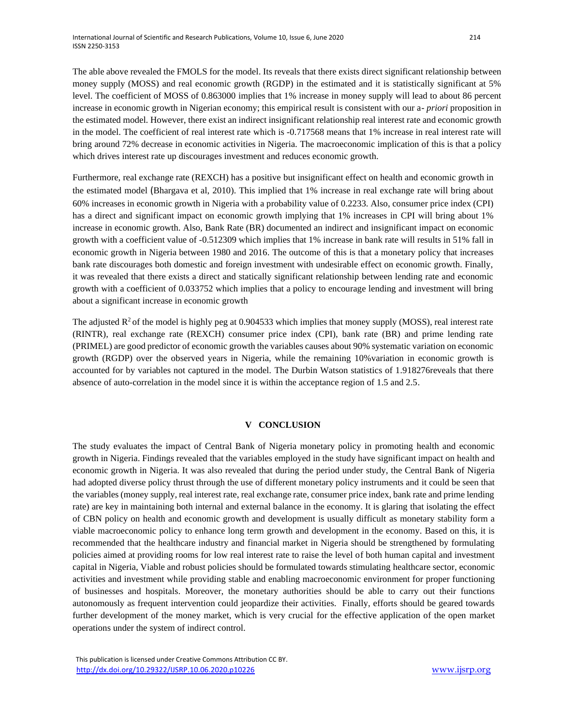The able above revealed the FMOLS for the model. Its reveals that there exists direct significant relationship between money supply (MOSS) and real economic growth (RGDP) in the estimated and it is statistically significant at 5% level. The coefficient of MOSS of 0.863000 implies that 1% increase in money supply will lead to about 86 percent increase in economic growth in Nigerian economy; this empirical result is consistent with our a*- priori* proposition in the estimated model. However, there exist an indirect insignificant relationship real interest rate and economic growth in the model. The coefficient of real interest rate which is -0.717568 means that 1% increase in real interest rate will bring around 72% decrease in economic activities in Nigeria. The macroeconomic implication of this is that a policy which drives interest rate up discourages investment and reduces economic growth.

Furthermore, real exchange rate (REXCH) has a positive but insignificant effect on health and economic growth in the estimated model (Bhargava et al, 2010). This implied that 1% increase in real exchange rate will bring about 60% increases in economic growth in Nigeria with a probability value of 0.2233. Also, consumer price index (CPI) has a direct and significant impact on economic growth implying that 1% increases in CPI will bring about 1% increase in economic growth. Also, Bank Rate (BR) documented an indirect and insignificant impact on economic growth with a coefficient value of -0.512309 which implies that 1% increase in bank rate will results in 51% fall in economic growth in Nigeria between 1980 and 2016. The outcome of this is that a monetary policy that increases bank rate discourages both domestic and foreign investment with undesirable effect on economic growth. Finally, it was revealed that there exists a direct and statically significant relationship between lending rate and economic growth with a coefficient of 0.033752 which implies that a policy to encourage lending and investment will bring about a significant increase in economic growth

The adjusted  $R^2$  of the model is highly peg at 0.904533 which implies that money supply (MOSS), real interest rate (RINTR), real exchange rate (REXCH) consumer price index (CPI), bank rate (BR) and prime lending rate (PRIMEL) are good predictor of economic growth the variables causes about 90% systematic variation on economic growth (RGDP) over the observed years in Nigeria, while the remaining 10%variation in economic growth is accounted for by variables not captured in the model. The Durbin Watson statistics of 1.918276reveals that there absence of auto-correlation in the model since it is within the acceptance region of 1.5 and 2.5.

#### **V CONCLUSION**

The study evaluates the impact of Central Bank of Nigeria monetary policy in promoting health and economic growth in Nigeria. Findings revealed that the variables employed in the study have significant impact on health and economic growth in Nigeria. It was also revealed that during the period under study, the Central Bank of Nigeria had adopted diverse policy thrust through the use of different monetary policy instruments and it could be seen that the variables (money supply, real interest rate, real exchange rate, consumer price index, bank rate and prime lending rate) are key in maintaining both internal and external balance in the economy. It is glaring that isolating the effect of CBN policy on health and economic growth and development is usually difficult as monetary stability form a viable macroeconomic policy to enhance long term growth and development in the economy. Based on this, it is recommended that the healthcare industry and financial market in Nigeria should be strengthened by formulating policies aimed at providing rooms for low real interest rate to raise the level of both human capital and investment capital in Nigeria, Viable and robust policies should be formulated towards stimulating healthcare sector, economic activities and investment while providing stable and enabling macroeconomic environment for proper functioning of businesses and hospitals. Moreover, the monetary authorities should be able to carry out their functions autonomously as frequent intervention could jeopardize their activities. Finally, efforts should be geared towards further development of the money market, which is very crucial for the effective application of the open market operations under the system of indirect control.

This publication is licensed under Creative Commons Attribution CC BY. <http://dx.doi.org/10.29322/IJSRP.10.06.2020.p10226>[www.ijsrp.org](http://ijsrp.org/)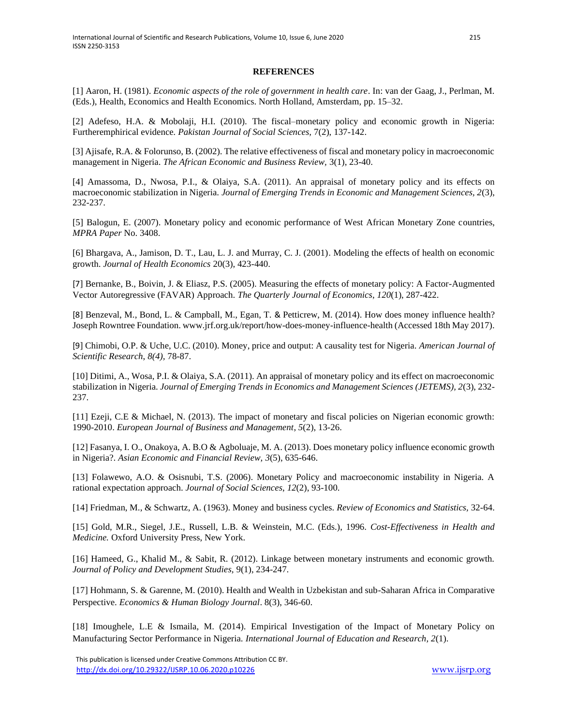### **REFERENCES**

[1] Aaron, H. (1981). *Economic aspects of the role of government in health care*. In: van der Gaag, J., Perlman, M. (Eds.), Health, Economics and Health Economics. North Holland, Amsterdam, pp. 15–32.

[2] Adefeso, H.A. & Mobolaji, H.I. (2010). The fiscal–monetary policy and economic growth in Nigeria: Furtheremphirical evidence*. Pakistan Journal of Social Sciences,* 7(2), 137-142.

[3] Ajisafe, R.A. & Folorunso, B. (2002). The relative effectiveness of fiscal and monetary policy in macroeconomic management in Nigeria. *The African Economic and Business Review,* 3(1), 23-40.

[4] Amassoma, D., Nwosa, P.I., & Olaiya, S.A. (2011). An appraisal of monetary policy and its effects on macroeconomic stabilization in Nigeria. *Journal of Emerging Trends in Economic and Management Sciences, 2*(3), 232-237.

[5] Balogun, E. (2007). Monetary policy and economic performance of West African Monetary Zone countries, *MPRA Paper* No. 3408.

[6] Bhargava, A., Jamison, D. T., Lau, L. J. and Murray, C. J. (2001). Modeling the effects of health on economic growth. *Journal of Health Economics* 20(3), 423-440.

[7] Bernanke, B., Boivin, J. & Eliasz, P.S. (2005). Measuring the effects of monetary policy: A Factor-Augmented Vector Autoregressive (FAVAR) Approach. *The Quarterly Journal of Economics*, *120*(1), 287-422.

[8] Benzeval, M., Bond, L. & Campball, M., Egan, T. & Petticrew, M. (2014). How does money influence health? Joseph Rowntree Foundation. www.jrf.org.uk/report/how-does-money-influence-health (Accessed 18th May 2017).

[9] Chimobi, O.P. & Uche, U.C. (2010). Money, price and output: A causality test for Nigeria. *American Journal of Scientific Research*, *8(4),* 78-87.

[10] Ditimi, A., Wosa, P.I. & Olaiya, S.A. (2011). An appraisal of monetary policy and its effect on macroeconomic stabilization in Nigeria. *Journal of Emerging Trends in Economics and Management Sciences (JETEMS), 2*(3), 232- 237.

[11] Ezeji, C.E & Michael, N. (2013). The impact of monetary and fiscal policies on Nigerian economic growth: 1990-2010. *European Journal of Business and Management*, *5*(2), 13-26.

[12] Fasanya, I. O., Onakoya, A. B.O & Agboluaje, M. A. (2013). Does monetary policy influence economic growth in Nigeria?. *Asian Economic and Financial Review, 3*(5), 635-646.

[13] Folawewo, A.O. & Osisnubi, T.S. (2006). Monetary Policy and macroeconomic instability in Nigeria. A rational expectation approach. *Journal of Social Sciences*, *12*(2), 93-100.

[14] Friedman, M., & Schwartz, A. (1963). Money and business cycles. *Review of Economics and Statistics,* 32-64.

[15] Gold, M.R., Siegel, J.E., Russell, L.B. & Weinstein, M.C. (Eds.), 1996. *Cost-Effectiveness in Health and Medicine.* Oxford University Press, New York.

[16] Hameed, G., Khalid M., & Sabit, R. (2012). Linkage between monetary instruments and economic growth. *Journal of Policy and Development Studies,* 9(1), 234-247.

[17] Hohmann, S. & Garenne, M. (2010). Health and Wealth in Uzbekistan and sub-Saharan Africa in Comparative Perspective. *Economics & Human Biology Journal*. 8(3), 346-60.

[18] Imoughele, L.E & Ismaila, M. (2014). Empirical Investigation of the Impact of Monetary Policy on Manufacturing Sector Performance in Nigeria. *International Journal of Education and Research, 2*(1).